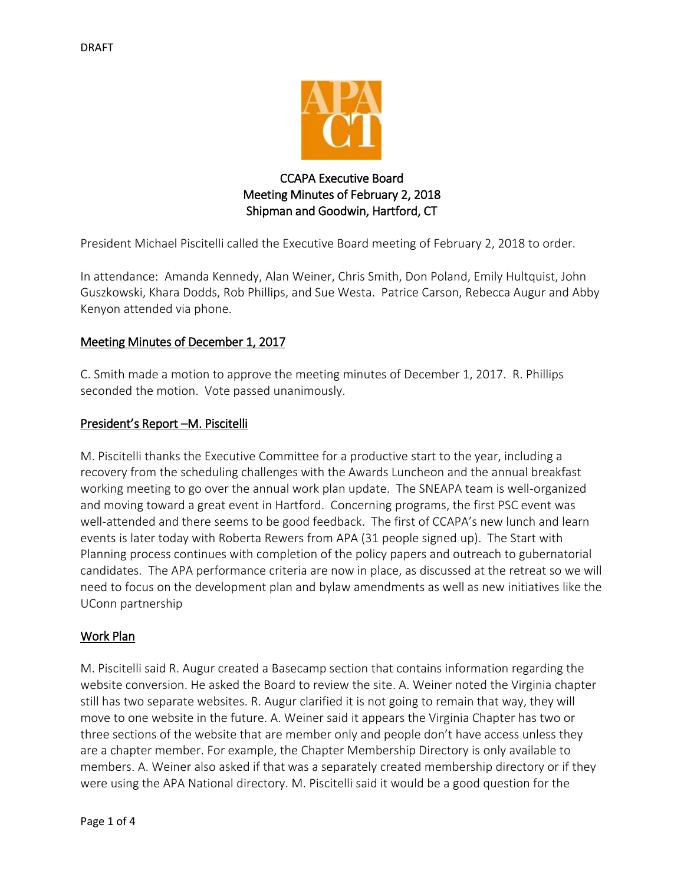

# CCAPA Executive Board Meeting Minutes of February 2, 2018 Shipman and Goodwin, Hartford, CT

President Michael Piscitelli called the Executive Board meeting of February 2, 2018 to order.

In attendance: Amanda Kennedy, Alan Weiner, Chris Smith, Don Poland, Emily Hultquist, John Guszkowski, Khara Dodds, Rob Phillips, and Sue Westa. Patrice Carson, Rebecca Augur and Abby Kenyon attended via phone.

# Meeting Minutes of December 1, 2017

C. Smith made a motion to approve the meeting minutes of December 1, 2017. R. Phillips seconded the motion. Vote passed unanimously.

### President's Report –M. Piscitelli

M. Piscitelli thanks the Executive Committee for a productive start to the year, including a recovery from the scheduling challenges with the Awards Luncheon and the annual breakfast working meeting to go over the annual work plan update. The SNEAPA team is well-organized and moving toward a great event in Hartford. Concerning programs, the first PSC event was well-attended and there seems to be good feedback. The first of CCAPA's new lunch and learn events is later today with Roberta Rewers from APA (31 people signed up). The Start with Planning process continues with completion of the policy papers and outreach to gubernatorial candidates. The APA performance criteria are now in place, as discussed at the retreat so we will need to focus on the development plan and bylaw amendments as well as new initiatives like the UConn partnership

### Work Plan

M. Piscitelli said R. Augur created a Basecamp section that contains information regarding the website conversion. He asked the Board to review the site. A. Weiner noted the Virginia chapter still has two separate websites. R. Augur clarified it is not going to remain that way, they will move to one website in the future. A. Weiner said it appears the Virginia Chapter has two or three sections of the website that are member only and people don't have access unless they are a chapter member. For example, the Chapter Membership Directory is only available to members. A. Weiner also asked if that was a separately created membership directory or if they were using the APA National directory. M. Piscitelli said it would be a good question for the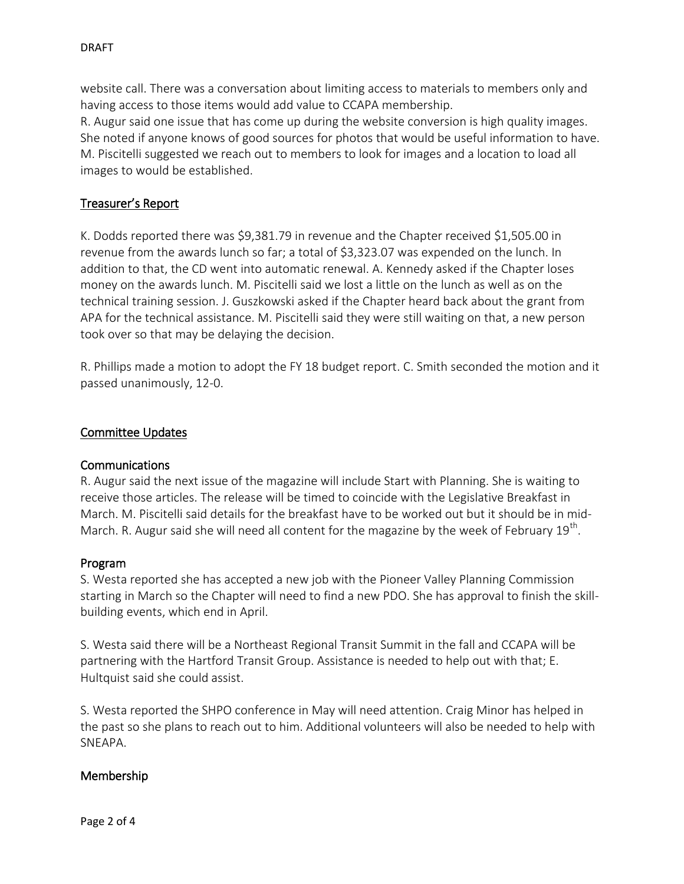website call. There was a conversation about limiting access to materials to members only and having access to those items would add value to CCAPA membership.

R. Augur said one issue that has come up during the website conversion is high quality images. She noted if anyone knows of good sources for photos that would be useful information to have. M. Piscitelli suggested we reach out to members to look for images and a location to load all images to would be established.

# Treasurer's Report

K. Dodds reported there was \$9,381.79 in revenue and the Chapter received \$1,505.00 in revenue from the awards lunch so far; a total of \$3,323.07 was expended on the lunch. In addition to that, the CD went into automatic renewal. A. Kennedy asked if the Chapter loses money on the awards lunch. M. Piscitelli said we lost a little on the lunch as well as on the technical training session. J. Guszkowski asked if the Chapter heard back about the grant from APA for the technical assistance. M. Piscitelli said they were still waiting on that, a new person took over so that may be delaying the decision.

R. Phillips made a motion to adopt the FY 18 budget report. C. Smith seconded the motion and it passed unanimously, 12-0.

### Committee Updates

#### Communications

R. Augur said the next issue of the magazine will include Start with Planning. She is waiting to receive those articles. The release will be timed to coincide with the Legislative Breakfast in March. M. Piscitelli said details for the breakfast have to be worked out but it should be in mid-March. R. Augur said she will need all content for the magazine by the week of February  $19^{\text{th}}$ .

#### Program

S. Westa reported she has accepted a new job with the Pioneer Valley Planning Commission starting in March so the Chapter will need to find a new PDO. She has approval to finish the skillbuilding events, which end in April.

S. Westa said there will be a Northeast Regional Transit Summit in the fall and CCAPA will be partnering with the Hartford Transit Group. Assistance is needed to help out with that; E. Hultquist said she could assist.

S. Westa reported the SHPO conference in May will need attention. Craig Minor has helped in the past so she plans to reach out to him. Additional volunteers will also be needed to help with SNEAPA.

### Membership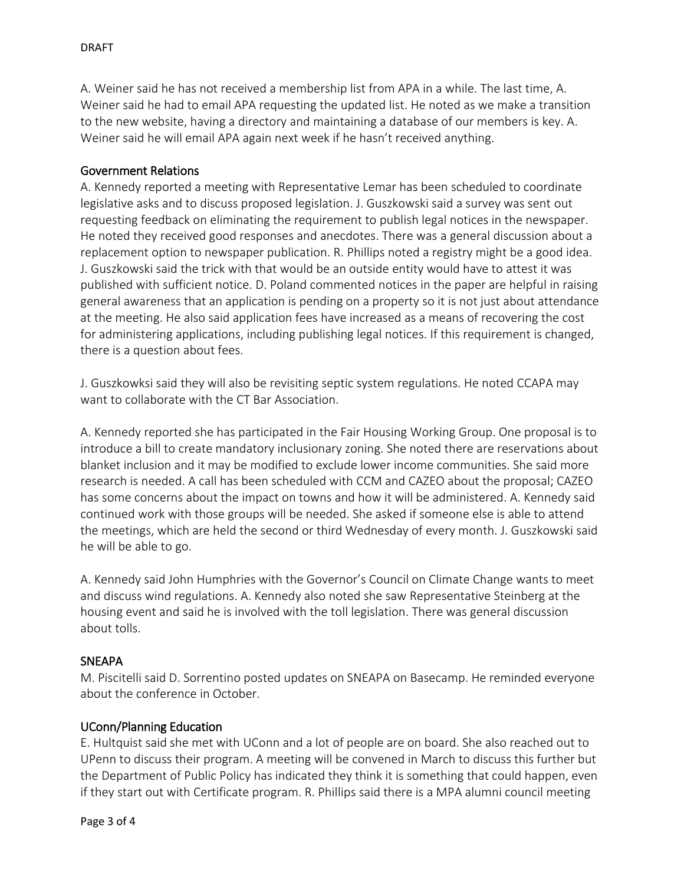A. Weiner said he has not received a membership list from APA in a while. The last time, A. Weiner said he had to email APA requesting the updated list. He noted as we make a transition to the new website, having a directory and maintaining a database of our members is key. A. Weiner said he will email APA again next week if he hasn't received anything.

#### Government Relations

A. Kennedy reported a meeting with Representative Lemar has been scheduled to coordinate legislative asks and to discuss proposed legislation. J. Guszkowski said a survey was sent out requesting feedback on eliminating the requirement to publish legal notices in the newspaper. He noted they received good responses and anecdotes. There was a general discussion about a replacement option to newspaper publication. R. Phillips noted a registry might be a good idea. J. Guszkowski said the trick with that would be an outside entity would have to attest it was published with sufficient notice. D. Poland commented notices in the paper are helpful in raising general awareness that an application is pending on a property so it is not just about attendance at the meeting. He also said application fees have increased as a means of recovering the cost for administering applications, including publishing legal notices. If this requirement is changed, there is a question about fees.

J. Guszkowksi said they will also be revisiting septic system regulations. He noted CCAPA may want to collaborate with the CT Bar Association.

A. Kennedy reported she has participated in the Fair Housing Working Group. One proposal is to introduce a bill to create mandatory inclusionary zoning. She noted there are reservations about blanket inclusion and it may be modified to exclude lower income communities. She said more research is needed. A call has been scheduled with CCM and CAZEO about the proposal; CAZEO has some concerns about the impact on towns and how it will be administered. A. Kennedy said continued work with those groups will be needed. She asked if someone else is able to attend the meetings, which are held the second or third Wednesday of every month. J. Guszkowski said he will be able to go.

A. Kennedy said John Humphries with the Governor's Council on Climate Change wants to meet and discuss wind regulations. A. Kennedy also noted she saw Representative Steinberg at the housing event and said he is involved with the toll legislation. There was general discussion about tolls.

### **SNEAPA**

M. Piscitelli said D. Sorrentino posted updates on SNEAPA on Basecamp. He reminded everyone about the conference in October.

### UConn/Planning Education

E. Hultquist said she met with UConn and a lot of people are on board. She also reached out to UPenn to discuss their program. A meeting will be convened in March to discuss this further but the Department of Public Policy has indicated they think it is something that could happen, even if they start out with Certificate program. R. Phillips said there is a MPA alumni council meeting